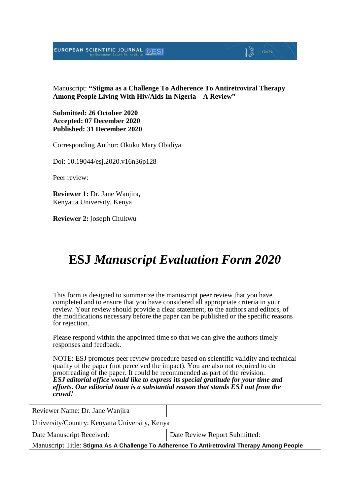## EUROPEAN SCIENTIFIC JOURNAL



D) YEARS

**Submitted: 26 October 2020 Accepted: 07 December 2020 Published: 31 December 2020**

Corresponding Author: Okuku Mary Obidiya

Doi: 10.19044/esj.2020.v16n36p128

Peer review:

**Reviewer 1:** Dr. Jane Wanjira, Kenyatta University, Kenya

**Reviewer 2:** Joseph Chukwu

# **ESJ** *Manuscript Evaluation Form 2020*

This form is designed to summarize the manuscript peer review that you have completed and to ensure that you have considered all appropriate criteria in your review. Your review should provide a clear statement, to the authors and editors, of the modifications necessary before the paper can be published or the specific reasons for rejection.

Please respond within the appointed time so that we can give the authors timely responses and feedback.

NOTE: ESJ promotes peer review procedure based on scientific validity and technical quality of the paper (not perceived the impact). You are also not required to do proofreading of the paper. It could be recommended as part of the revision. *ESJ editorial office would like to express its special gratitude for your time and efforts. Our editorial team is a substantial reason that stands ESJ out from the crowd!* 

| Reviewer Name: Dr. Jane Wanjira                                                             |                               |  |
|---------------------------------------------------------------------------------------------|-------------------------------|--|
| University/Country: Kenyatta University, Kenya                                              |                               |  |
| Date Manuscript Received:                                                                   | Date Review Report Submitted: |  |
| Manuscript Title: Stigma As A Challenge To Adherence To Antiretroviral Therapy Among People |                               |  |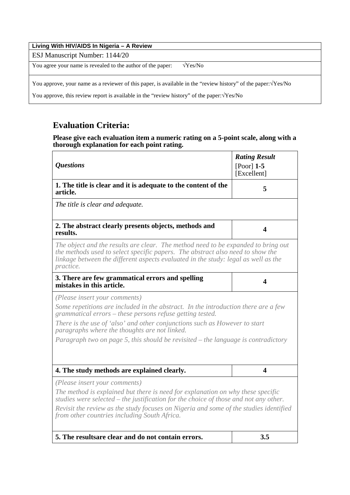| Living With HIV/AIDS In Nigeria - A Review                                                                              |
|-------------------------------------------------------------------------------------------------------------------------|
| ESJ Manuscript Number: 1144/20                                                                                          |
| You agree your name is revealed to the author of the paper:<br>$\sqrt{Yes/No}$                                          |
| You approve, your name as a reviewer of this paper, is available in the "review history" of the paper: $\sqrt{Y}$ es/No |
| You approve, this review report is available in the "review history" of the paper: $\sqrt{Yes/No}$                      |

## **Evaluation Criteria:**

#### **Please give each evaluation item a numeric rating on a 5-point scale, along with a thorough explanation for each point rating.**

| <i><b>Questions</b></i>                                                                                                                                                                                                                                                | <b>Rating Result</b><br>$[Poor]$ 1-5<br>[Excellent] |
|------------------------------------------------------------------------------------------------------------------------------------------------------------------------------------------------------------------------------------------------------------------------|-----------------------------------------------------|
| 1. The title is clear and it is adequate to the content of the<br>article.                                                                                                                                                                                             | 5                                                   |
| The title is clear and adequate.                                                                                                                                                                                                                                       |                                                     |
| 2. The abstract clearly presents objects, methods and<br>results.                                                                                                                                                                                                      | $\overline{\mathbf{4}}$                             |
| The object and the results are clear. The method need to be expanded to bring out<br>the methods used to select specific papers. The abstract also need to show the<br>linkage between the different aspects evaluated in the study: legal as well as the<br>practice. |                                                     |
| 3. There are few grammatical errors and spelling<br>mistakes in this article.                                                                                                                                                                                          | 4                                                   |
| (Please insert your comments)                                                                                                                                                                                                                                          |                                                     |
| Some repetitions are included in the abstract. In the introduction there are a few<br>grammatical errors – these persons refuse getting tested.                                                                                                                        |                                                     |
| There is the use of 'also' and other conjunctions such as However to start<br>paragraphs where the thoughts are not linked.                                                                                                                                            |                                                     |
| Paragraph two on page 5, this should be revisited – the language is contradictory                                                                                                                                                                                      |                                                     |
| 4. The study methods are explained clearly.                                                                                                                                                                                                                            | 4                                                   |
| (Please insert your comments)                                                                                                                                                                                                                                          |                                                     |
| The method is explained but there is need for explanation on why these specific<br>studies were selected $-$ the justification for the choice of those and not any other.                                                                                              |                                                     |
| Revisit the review as the study focuses on Nigeria and some of the studies identified<br>from other countries including South Africa.                                                                                                                                  |                                                     |
| 5. The resultsare clear and do not contain errors.                                                                                                                                                                                                                     | 3.5                                                 |